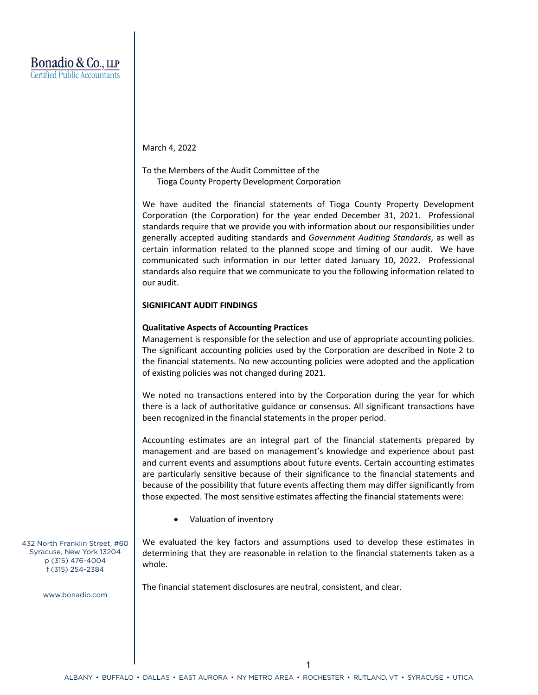March 4, 2022

To the Members of the Audit Committee of the Tioga County Property Development Corporation

We have audited the financial statements of Tioga County Property Development Corporation (the Corporation) for the year ended December 31, 2021. Professional standards require that we provide you with information about our responsibilities under generally accepted auditing standards and *Government Auditing Standards*, as well as certain information related to the planned scope and timing of our audit. We have communicated such information in our letter dated January 10, 2022. Professional standards also require that we communicate to you the following information related to our audit.

## **SIGNIFICANT AUDIT FINDINGS**

## **Qualitative Aspects of Accounting Practices**

Management is responsible for the selection and use of appropriate accounting policies. The significant accounting policies used by the Corporation are described in Note 2 to the financial statements. No new accounting policies were adopted and the application of existing policies was not changed during 2021.

We noted no transactions entered into by the Corporation during the year for which there is a lack of authoritative guidance or consensus. All significant transactions have been recognized in the financial statements in the proper period.

Accounting estimates are an integral part of the financial statements prepared by management and are based on management's knowledge and experience about past and current events and assumptions about future events. Certain accounting estimates are particularly sensitive because of their significance to the financial statements and because of the possibility that future events affecting them may differ significantly from those expected. The most sensitive estimates affecting the financial statements were:

Valuation of inventory

We evaluated the key factors and assumptions used to develop these estimates in determining that they are reasonable in relation to the financial statements taken as a whole.

The financial statement disclosures are neutral, consistent, and clear.

432 North Franklin Street, #60 Syracuse, New York 13204 p (315) 476-4004 f (315) 254-2384

www.bonadio.com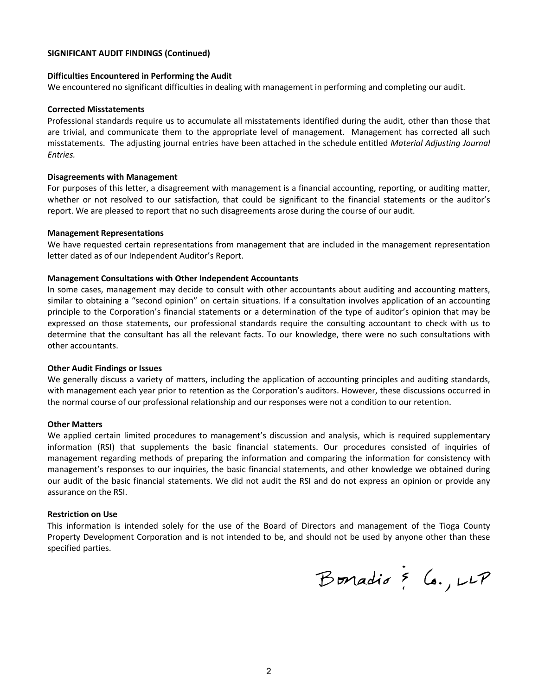## **SIGNIFICANT AUDIT FINDINGS (Continued)**

## **Difficulties Encountered in Performing the Audit**

We encountered no significant difficulties in dealing with management in performing and completing our audit.

### **Corrected Misstatements**

Professional standards require us to accumulate all misstatements identified during the audit, other than those that are trivial, and communicate them to the appropriate level of management. Management has corrected all such misstatements. The adjusting journal entries have been attached in the schedule entitled *Material Adjusting Journal Entries.*

### **Disagreements with Management**

For purposes of this letter, a disagreement with management is a financial accounting, reporting, or auditing matter, whether or not resolved to our satisfaction, that could be significant to the financial statements or the auditor's report. We are pleased to report that no such disagreements arose during the course of our audit.

#### **Management Representations**

We have requested certain representations from management that are included in the management representation letter dated as of our Independent Auditor's Report.

## **Management Consultations with Other Independent Accountants**

In some cases, management may decide to consult with other accountants about auditing and accounting matters, similar to obtaining a "second opinion" on certain situations. If a consultation involves application of an accounting principle to the Corporation's financial statements or a determination of the type of auditor's opinion that may be expressed on those statements, our professional standards require the consulting accountant to check with us to determine that the consultant has all the relevant facts. To our knowledge, there were no such consultations with other accountants.

### **Other Audit Findings or Issues**

We generally discuss a variety of matters, including the application of accounting principles and auditing standards, with management each year prior to retention as the Corporation's auditors. However, these discussions occurred in the normal course of our professional relationship and our responses were not a condition to our retention.

## **Other Matters**

We applied certain limited procedures to management's discussion and analysis, which is required supplementary information (RSI) that supplements the basic financial statements. Our procedures consisted of inquiries of management regarding methods of preparing the information and comparing the information for consistency with management's responses to our inquiries, the basic financial statements, and other knowledge we obtained during our audit of the basic financial statements. We did not audit the RSI and do not express an opinion or provide any assurance on the RSI.

### **Restriction on Use**

This information is intended solely for the use of the Board of Directors and management of the Tioga County Property Development Corporation and is not intended to be, and should not be used by anyone other than these specified parties.

Bonadio & Co., LLP